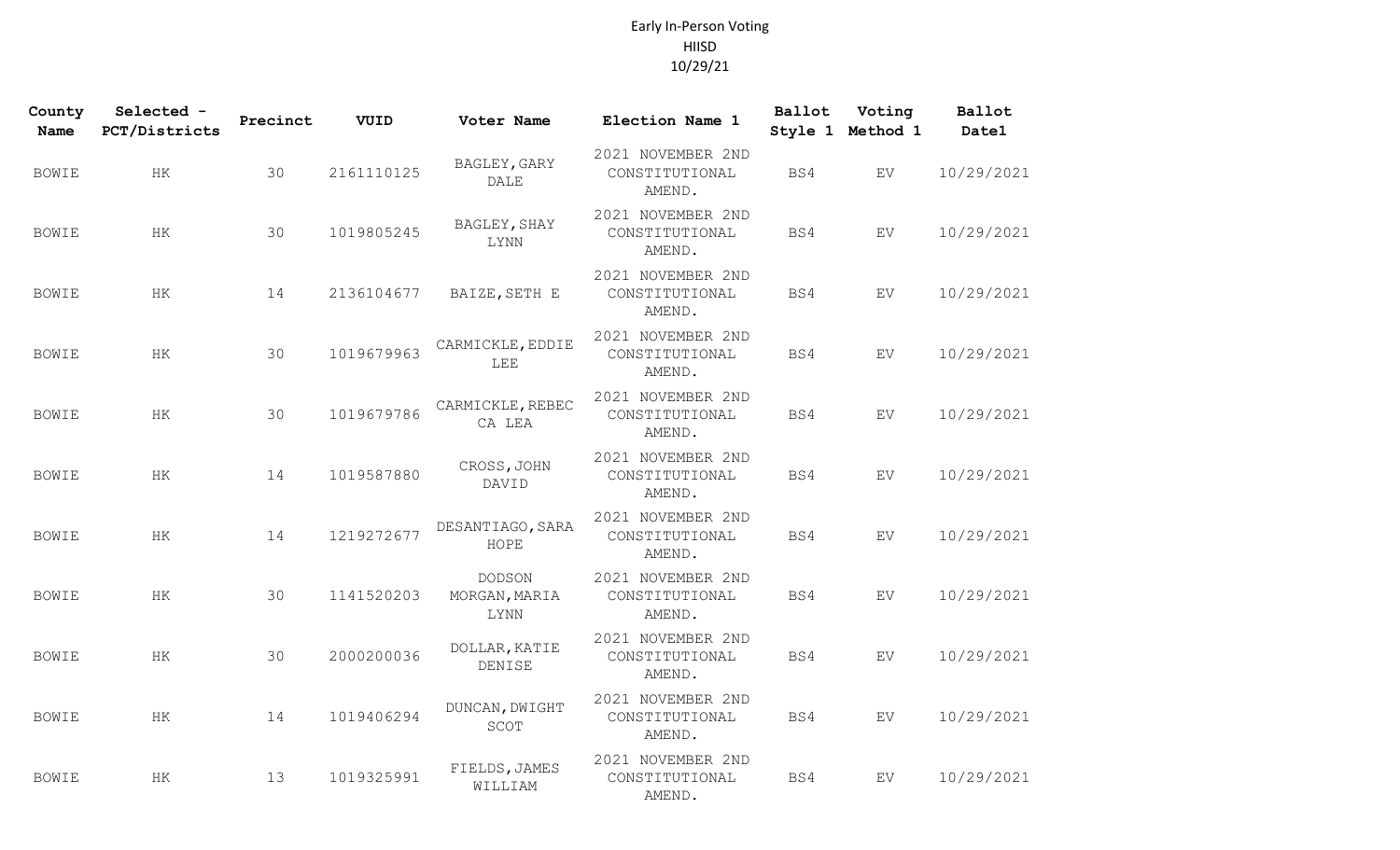| County<br><b>Name</b> | Selected -<br>PCT/Districts | Precinct | VUID       | Voter Name                             | Election Name 1                               | Ballot | Voting<br>Style 1 Method 1 | <b>Ballot</b><br>Date1 |
|-----------------------|-----------------------------|----------|------------|----------------------------------------|-----------------------------------------------|--------|----------------------------|------------------------|
| BOWIE                 | HК                          | 30       | 2161110125 | BAGLEY, GARY<br><b>DALE</b>            | 2021 NOVEMBER 2ND<br>CONSTITUTIONAL<br>AMEND. | BS4    | EV                         | 10/29/2021             |
| <b>BOWIE</b>          | HK                          | 30       | 1019805245 | BAGLEY, SHAY<br>LYNN                   | 2021 NOVEMBER 2ND<br>CONSTITUTIONAL<br>AMEND. | BS4    | EV                         | 10/29/2021             |
| <b>BOWIE</b>          | HK                          | 14       | 2136104677 | BAIZE, SETH E                          | 2021 NOVEMBER 2ND<br>CONSTITUTIONAL<br>AMEND. | BS4    | ${\rm EV}$                 | 10/29/2021             |
| <b>BOWIE</b>          | HK                          | 30       | 1019679963 | CARMICKLE, EDDIE<br>LEE                | 2021 NOVEMBER 2ND<br>CONSTITUTIONAL<br>AMEND. | BS4    | ${\rm EV}$                 | 10/29/2021             |
| <b>BOWIE</b>          | <b>HK</b>                   | 30       | 1019679786 | CARMICKLE, REBEC<br>CA LEA             | 2021 NOVEMBER 2ND<br>CONSTITUTIONAL<br>AMEND. | BS4    | EV.                        | 10/29/2021             |
| <b>BOWIE</b>          | HK                          | 14       | 1019587880 | CROSS, JOHN<br>DAVID                   | 2021 NOVEMBER 2ND<br>CONSTITUTIONAL<br>AMEND. | BS4    | EV.                        | 10/29/2021             |
| <b>BOWIE</b>          | HK                          | 14       | 1219272677 | DESANTIAGO, SARA<br>HOPE               | 2021 NOVEMBER 2ND<br>CONSTITUTIONAL<br>AMEND. | BS4    | EV                         | 10/29/2021             |
| <b>BOWIE</b>          | $\rm{HK}$                   | 30       | 1141520203 | <b>DODSON</b><br>MORGAN, MARIA<br>LYNN | 2021 NOVEMBER 2ND<br>CONSTITUTIONAL<br>AMEND. | BS4    | ${\rm EV}$                 | 10/29/2021             |
| <b>BOWIE</b>          | $\rm{HK}$                   | 30       | 2000200036 | DOLLAR, KATIE<br>DENISE                | 2021 NOVEMBER 2ND<br>CONSTITUTIONAL<br>AMEND. | BS4    | ${\rm EV}$                 | 10/29/2021             |
| <b>BOWIE</b>          | НK                          | 14       | 1019406294 | DUNCAN, DWIGHT<br>SCOT                 | 2021 NOVEMBER 2ND<br>CONSTITUTIONAL<br>AMEND. | BS4    | EV                         | 10/29/2021             |
| <b>BOWIE</b>          | HK                          | 13       | 1019325991 | FIELDS, JAMES<br>WILLIAM               | 2021 NOVEMBER 2ND<br>CONSTITUTIONAL<br>AMEND. | BS4    | EV                         | 10/29/2021             |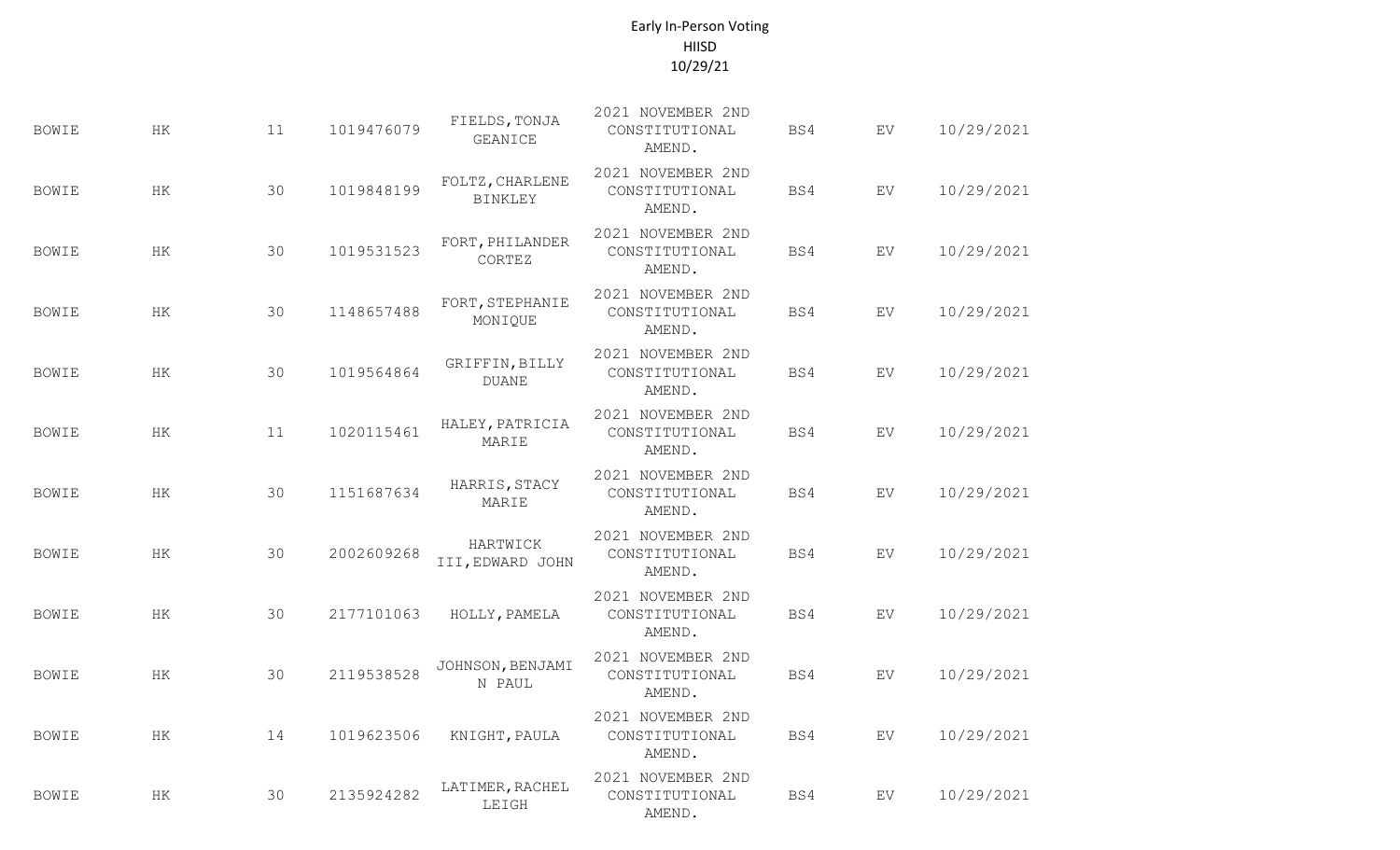| <b>BOWIE</b> | HK        | 11 | 1019476079 | FIELDS, TONJA<br><b>GEANICE</b>   | 2021 NOVEMBER 2ND<br>CONSTITUTIONAL<br>AMEND. | BS4 | EV  | 10/29/2021 |
|--------------|-----------|----|------------|-----------------------------------|-----------------------------------------------|-----|-----|------------|
| <b>BOWIE</b> | HK        | 30 | 1019848199 | FOLTZ, CHARLENE<br><b>BINKLEY</b> | 2021 NOVEMBER 2ND<br>CONSTITUTIONAL<br>AMEND. | BS4 | EV  | 10/29/2021 |
| <b>BOWIE</b> | HK        | 30 | 1019531523 | FORT, PHILANDER<br>CORTEZ         | 2021 NOVEMBER 2ND<br>CONSTITUTIONAL<br>AMEND. | BS4 | EV  | 10/29/2021 |
| <b>BOWIE</b> | HК        | 30 | 1148657488 | FORT, STEPHANIE<br>MONIQUE        | 2021 NOVEMBER 2ND<br>CONSTITUTIONAL<br>AMEND. | BS4 | EV  | 10/29/2021 |
| <b>BOWIE</b> | HК        | 30 | 1019564864 | GRIFFIN, BILLY<br><b>DUANE</b>    | 2021 NOVEMBER 2ND<br>CONSTITUTIONAL<br>AMEND. | BS4 | EV  | 10/29/2021 |
| <b>BOWIE</b> | HK        | 11 | 1020115461 | HALEY, PATRICIA<br>MARIE          | 2021 NOVEMBER 2ND<br>CONSTITUTIONAL<br>AMEND. | BS4 | EV  | 10/29/2021 |
| <b>BOWIE</b> | HK        | 30 | 1151687634 | HARRIS, STACY<br>MARIE            | 2021 NOVEMBER 2ND<br>CONSTITUTIONAL<br>AMEND. | BS4 | EV  | 10/29/2021 |
| <b>BOWIE</b> | HK        | 30 | 2002609268 | HARTWICK<br>III, EDWARD JOHN      | 2021 NOVEMBER 2ND<br>CONSTITUTIONAL<br>AMEND. | BS4 | EV  | 10/29/2021 |
| <b>BOWIE</b> | HK        | 30 | 2177101063 | HOLLY, PAMELA                     | 2021 NOVEMBER 2ND<br>CONSTITUTIONAL<br>AMEND. | BS4 | EV. | 10/29/2021 |
| BOWIE        | HK        | 30 | 2119538528 | JOHNSON, BENJAMI<br>N PAUL        | 2021 NOVEMBER 2ND<br>CONSTITUTIONAL<br>AMEND. | BS4 | EV  | 10/29/2021 |
| <b>BOWIE</b> | $\rm{HK}$ | 14 | 1019623506 | KNIGHT, PAULA                     | 2021 NOVEMBER 2ND<br>CONSTITUTIONAL<br>AMEND. | BS4 | EV  | 10/29/2021 |
| <b>BOWIE</b> | ΗK        | 30 | 2135924282 | LATIMER, RACHEL<br>LEIGH          | 2021 NOVEMBER 2ND<br>CONSTITUTIONAL<br>AMEND. | BS4 | EV  | 10/29/2021 |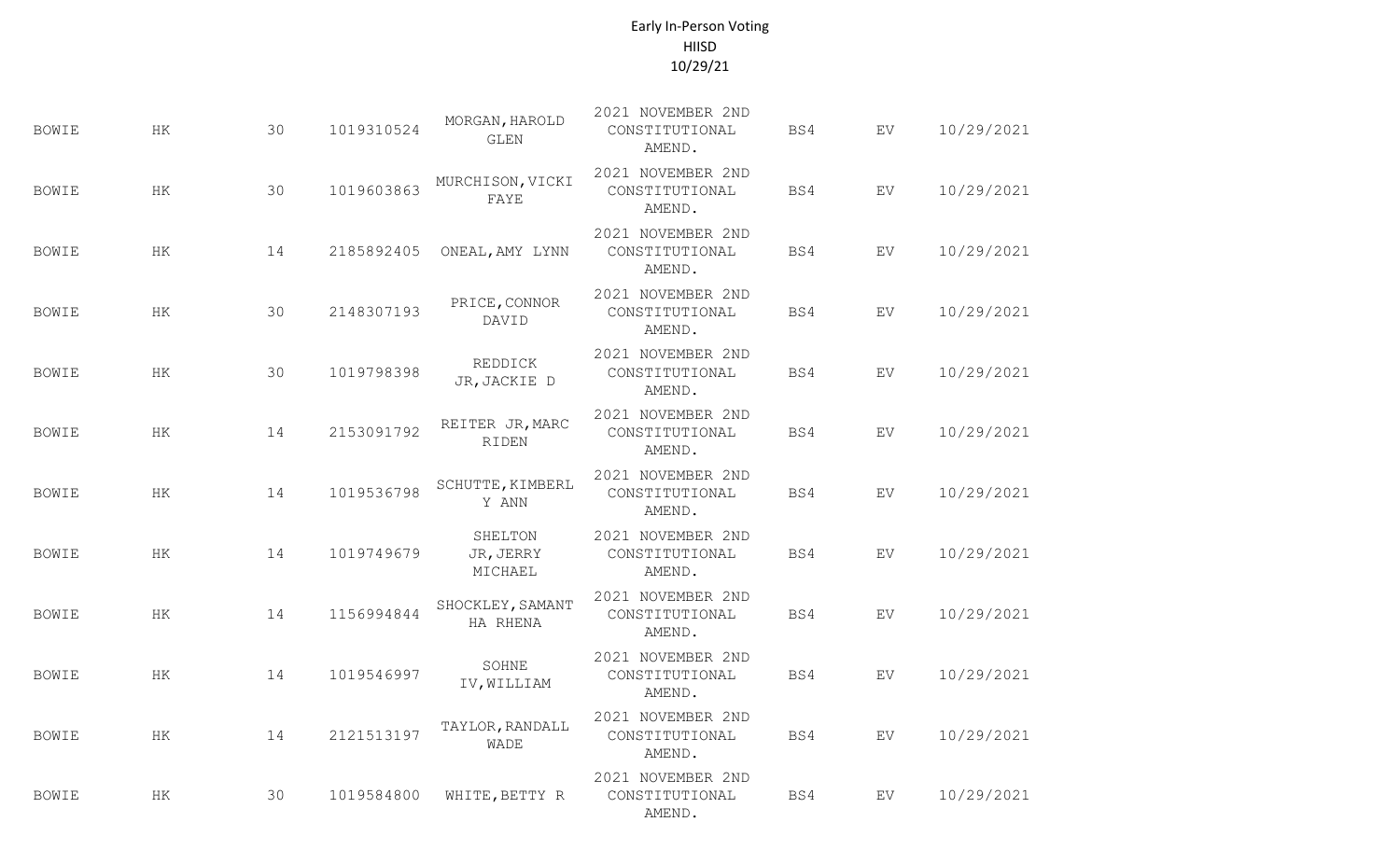| <b>BOWIE</b> | HK        | 30 | 1019310524 | MORGAN, HAROLD<br><b>GLEN</b>   | 2021 NOVEMBER 2ND<br>CONSTITUTIONAL<br>AMEND. | BS4 | EV         | 10/29/2021 |
|--------------|-----------|----|------------|---------------------------------|-----------------------------------------------|-----|------------|------------|
| BOWIE        | HK        | 30 | 1019603863 | MURCHISON, VICKI<br>FAYE        | 2021 NOVEMBER 2ND<br>CONSTITUTIONAL<br>AMEND. | BS4 | ${\rm EV}$ | 10/29/2021 |
| <b>BOWIE</b> | ΗK        | 14 | 2185892405 | ONEAL, AMY LYNN                 | 2021 NOVEMBER 2ND<br>CONSTITUTIONAL<br>AMEND. | BS4 | EV         | 10/29/2021 |
| BOWIE        | ΗK        | 30 | 2148307193 | PRICE, CONNOR<br>DAVID          | 2021 NOVEMBER 2ND<br>CONSTITUTIONAL<br>AMEND. | BS4 | EV         | 10/29/2021 |
| BOWIE        | ΗK        | 30 | 1019798398 | REDDICK<br>JR, JACKIE D         | 2021 NOVEMBER 2ND<br>CONSTITUTIONAL<br>AMEND. | BS4 | EV         | 10/29/2021 |
| <b>BOWIE</b> | HK        | 14 | 2153091792 | REITER JR, MARC<br>RIDEN        | 2021 NOVEMBER 2ND<br>CONSTITUTIONAL<br>AMEND. | BS4 | EV         | 10/29/2021 |
| <b>BOWIE</b> | HK        | 14 | 1019536798 | SCHUTTE, KIMBERL<br>Y ANN       | 2021 NOVEMBER 2ND<br>CONSTITUTIONAL<br>AMEND. | BS4 | EV         | 10/29/2021 |
| BOWIE        | HK        | 14 | 1019749679 | SHELTON<br>JR, JERRY<br>MICHAEL | 2021 NOVEMBER 2ND<br>CONSTITUTIONAL<br>AMEND. | BS4 | EV.        | 10/29/2021 |
| <b>BOWIE</b> | HK        | 14 | 1156994844 | SHOCKLEY, SAMANT<br>HA RHENA    | 2021 NOVEMBER 2ND<br>CONSTITUTIONAL<br>AMEND. | BS4 | EV.        | 10/29/2021 |
| <b>BOWIE</b> | ΗK        | 14 | 1019546997 | SOHNE<br>IV, WILLIAM            | 2021 NOVEMBER 2ND<br>CONSTITUTIONAL<br>AMEND. | BS4 | EV         | 10/29/2021 |
| <b>BOWIE</b> | $\rm{HK}$ | 14 | 2121513197 | TAYLOR, RANDALL<br><b>WADE</b>  | 2021 NOVEMBER 2ND<br>CONSTITUTIONAL<br>AMEND. | BS4 | EV         | 10/29/2021 |
| <b>BOWIE</b> | ΗK        | 30 | 1019584800 | WHITE, BETTY R                  | 2021 NOVEMBER 2ND<br>CONSTITUTIONAL<br>AMEND. | BS4 | EV         | 10/29/2021 |